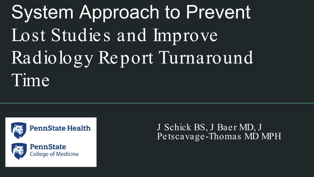# System Approach to Prevent Lost Studies and Improve Radiology Report Turnaround Time





J Schick BS, J Baer MD, J Petscavage -Thomas MD MPH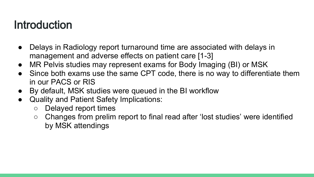## Introduction

- Delays in Radiology report turnaround time are associated with delays in management and adverse effects on patient care [1-3]
- MR Pelvis studies may represent exams for Body Imaging (BI) or MSK
- Since both exams use the same CPT code, there is no way to differentiate them in our PACS or RIS
- By default, MSK studies were queued in the BI workflow
- Quality and Patient Safety Implications:
	- Delayed report times
	- Changes from prelim report to final read after 'lost studies' were identified by MSK attendings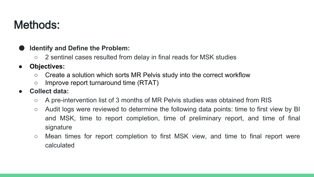## Methods:

### **Identify and Define the Problem:**

○ 2 sentinel cases resulted from delay in final reads for MSK studies

### ● **Objectives:**

- Create a solution which sorts MR Pelvis study into the correct workflow
- Improve report turnaround time (RTAT)

### ● **Collect data:**

- A pre-intervention list of 3 months of MR Pelvis studies was obtained from RIS
- Audit logs were reviewed to determine the following data points: time to first view by BI and MSK, time to report completion, time of preliminary report, and time of final signature
- Mean times for report completion to first MSK view, and time to final report were calculated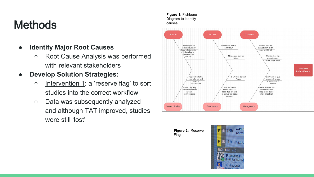## **Methods**

### ● **Identify Major Root Causes**

○ Root Cause Analysis was performed with relevant stakeholders

### ● **Develop Solution Strategies:**

- Intervention 1: a 'reserve flag' to sort studies into the correct workflow
- Data was subsequently analyzed and although TAT improved, studies were still 'lost'



**Figure 2:** 'Reserve Flag'

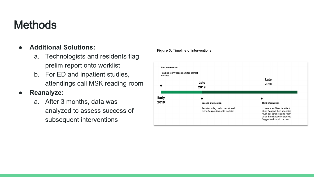## **Methods**

### ● **Additional Solutions:**

- a. Technologists and residents flag prelim report onto worklist
- b. For ED and inpatient studies, attendings call MSK reading room

### ● **Reanalyze:**

a. After 3 months, data was analyzed to assess success of subsequent interventions





### Late 2020

### **Third Intervention**

If there is an ED or inpatient study flagged, then attending must call other reading room to let them know the study is flagged and should be read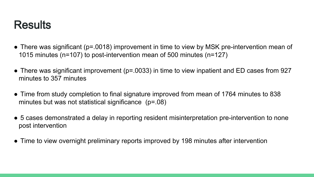## **Results**

- There was significant (p=.0018) improvement in time to view by MSK pre-intervention mean of 1015 minutes (n=107) to post-intervention mean of 500 minutes (n=127)
- There was significant improvement (p=.0033) in time to view inpatient and ED cases from 927 minutes to 357 minutes
- Time from study completion to final signature improved from mean of 1764 minutes to 838 minutes but was not statistical significance (p=.08)
- 5 cases demonstrated a delay in reporting resident misinterpretation pre-intervention to none post intervention
- Time to view overnight preliminary reports improved by 198 minutes after intervention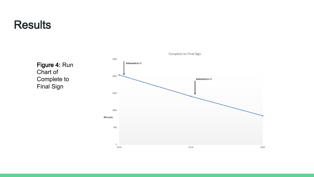### **Results**

Figure 4: Run Chart of Complete to Final Sign

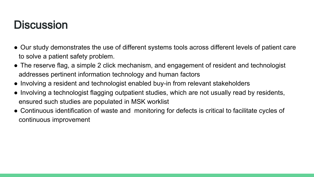## **Discussion**

- Our study demonstrates the use of different systems tools across different levels of patient care to solve a patient safety problem.
- The reserve flag, a simple 2 click mechanism, and engagement of resident and technologist addresses pertinent information technology and human factors
- Involving a resident and technologist enabled buy-in from relevant stakeholders
- Involving a technologist flagging outpatient studies, which are not usually read by residents, ensured such studies are populated in MSK worklist
- Continuous identification of waste and monitoring for defects is critical to facilitate cycles of continuous improvement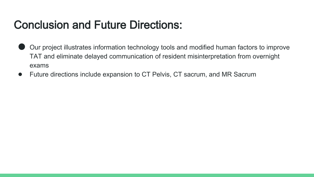## Conclusion and Future Directions:

- Our project illustrates information technology tools and modified human factors to improve TAT and eliminate delayed communication of resident misinterpretation from overnight exams
- Future directions include expansion to CT Pelvis, CT sacrum, and MR Sacrum